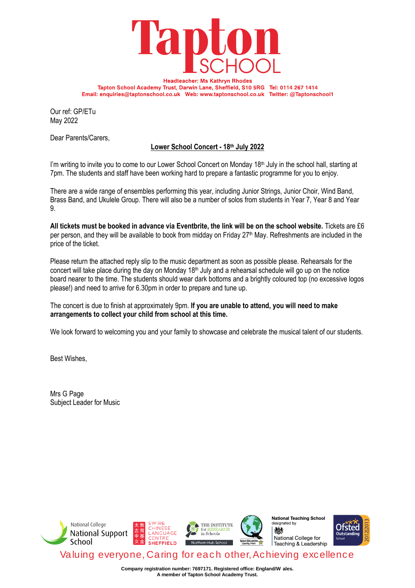

**Headteacher: Ms Kathryn Rhodes** Tapton School Academy Trust, Darwin Lane, Sheffield, S10 5RG Tel: 0114 267 1414 Email: enquiries@taptonschool.co.uk Web: www.taptonschool.co.uk Twitter: @Taptonschool1

Our ref: GP/ETu May 2022

Dear Parents/Carers,

# **Lower School Concert - 18th July 2022**

I'm writing to invite you to come to our Lower School Concert on Monday 18<sup>th</sup> July in the school hall, starting at 7pm. The students and staff have been working hard to prepare a fantastic programme for you to enjoy.

There are a wide range of ensembles performing this year, including Junior Strings, Junior Choir, Wind Band, Brass Band, and Ukulele Group. There will also be a number of solos from students in Year 7, Year 8 and Year 9.

**All tickets must be booked in advance via Eventbrite, the link will be on the school website.** Tickets are £6 per person, and they will be available to book from midday on Friday 27<sup>th</sup> May. Refreshments are included in the price of the ticket.

Please return the attached reply slip to the music department as soon as possible please. Rehearsals for the concert will take place during the day on Monday 18<sup>th</sup> July and a rehearsal schedule will go up on the notice board nearer to the time. The students should wear dark bottoms and a brightly coloured top (no excessive logos please!) and need to arrive for 6.30pm in order to prepare and tune up.

### The concert is due to finish at approximately 9pm. **If you are unable to attend, you will need to make arrangements to collect your child from school at this time.**

We look forward to welcoming you and your family to showcase and celebrate the musical talent of our students.

Best Wishes,

Mrs G Page Subject Leader for Music



**Company registration number: 7697171. Registered office: England/W ales. A member of Tapton School Academy Trust.**